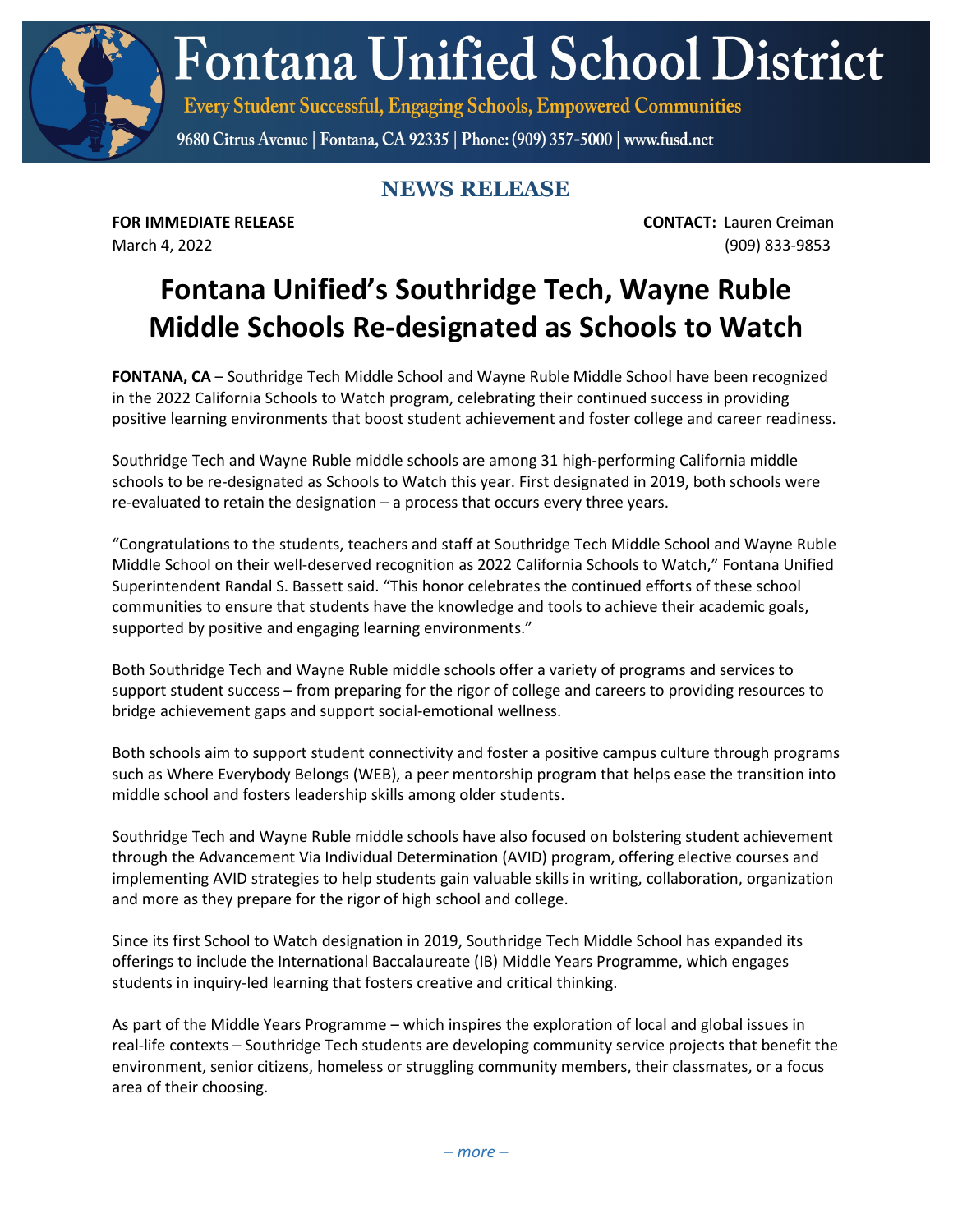**Fontana Unified School District** 

Every Student Successful, Engaging Schools, Empowered Communities

9680 Citrus Avenue | Fontana, CA 92335 | Phone: (909) 357-5000 | www.fusd.net

## **NEWS RELEASE**

**FOR IMMEDIATE RELEASE CONTACT:** Lauren Creiman March 4, 2022 (909) 833-9853

## **Fontana Unified's Southridge Tech, Wayne Ruble Middle Schools Re-designated as Schools to Watch**

**FONTANA, CA** – Southridge Tech Middle School and Wayne Ruble Middle School have been recognized in the 2022 California Schools to Watch program, celebrating their continued success in providing positive learning environments that boost student achievement and foster college and career readiness.

Southridge Tech and Wayne Ruble middle schools are among 31 high-performing California middle schools to be re-designated as Schools to Watch this year. First designated in 2019, both schools were re-evaluated to retain the designation – a process that occurs every three years.

"Congratulations to the students, teachers and staff at Southridge Tech Middle School and Wayne Ruble Middle School on their well-deserved recognition as 2022 California Schools to Watch," Fontana Unified Superintendent Randal S. Bassett said. "This honor celebrates the continued efforts of these school communities to ensure that students have the knowledge and tools to achieve their academic goals, supported by positive and engaging learning environments."

Both Southridge Tech and Wayne Ruble middle schools offer a variety of programs and services to support student success – from preparing for the rigor of college and careers to providing resources to bridge achievement gaps and support social-emotional wellness.

Both schools aim to support student connectivity and foster a positive campus culture through programs such as Where Everybody Belongs (WEB), a peer mentorship program that helps ease the transition into middle school and fosters leadership skills among older students.

Southridge Tech and Wayne Ruble middle schools have also focused on bolstering student achievement through the Advancement Via Individual Determination (AVID) program, offering elective courses and implementing AVID strategies to help students gain valuable skills in writing, collaboration, organization and more as they prepare for the rigor of high school and college.

Since its first School to Watch designation in 2019, Southridge Tech Middle School has expanded its offerings to include the International Baccalaureate (IB) Middle Years Programme, which engages students in inquiry-led learning that fosters creative and critical thinking.

As part of the Middle Years Programme – which inspires the exploration of local and global issues in real-life contexts – Southridge Tech students are developing community service projects that benefit the environment, senior citizens, homeless or struggling community members, their classmates, or a focus area of their choosing.